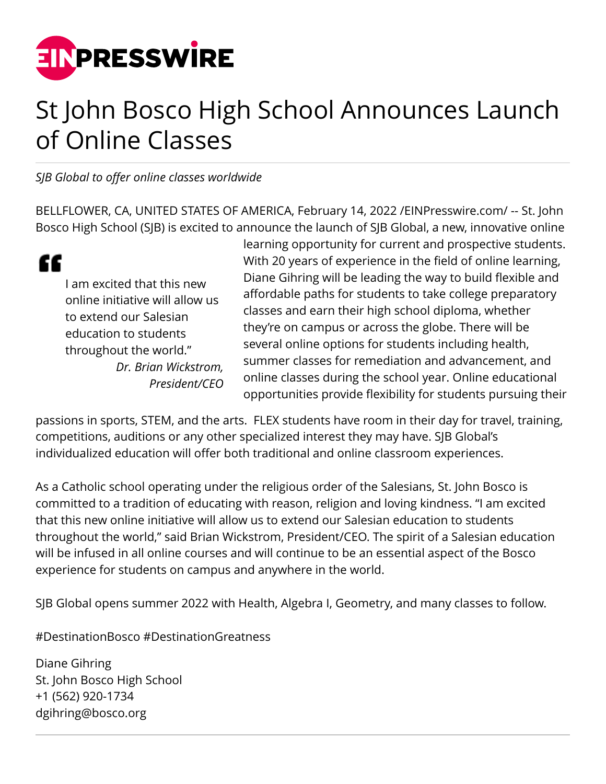

## St John Bosco High School Announces Launch of Online Classes

*SJB Global to offer online classes worldwide*

BELLFLOWER, CA, UNITED STATES OF AMERICA, February 14, 2022 /[EINPresswire.com/](http://www.einpresswire.com) -- St. John Bosco High School (SJB) is excited to announce the launch of SJB Global, a new, innovative online

" I am excited that this new online initiative will allow us to extend our Salesian education to students throughout the world." *Dr. Brian Wickstrom, President/CEO* learning opportunity for current and prospective students. With 20 years of experience in the field of online learning, Diane Gihring will be leading the way to build flexible and affordable paths for students to take college preparatory classes and earn their high school diploma, whether they're on campus or across the globe. There will be several online options for students including health, summer classes for remediation and advancement, and online classes during the school year. Online educational opportunities provide flexibility for students pursuing their

passions in sports, STEM, and the arts. FLEX students have room in their day for travel, training, competitions, auditions or any other specialized interest they may have. SJB Global's individualized education will offer both traditional and online classroom experiences.

As a Catholic school operating under the religious order of the Salesians, St. John Bosco is committed to a tradition of educating with reason, religion and loving kindness. "I am excited that this new online initiative will allow us to extend our Salesian education to students throughout the world," said Brian Wickstrom, President/CEO. The spirit of a Salesian education will be infused in all online courses and will continue to be an essential aspect of the Bosco experience for students on campus and anywhere in the world.

SJB Global opens summer 2022 with Health, Algebra I, Geometry, and many classes to follow.

#DestinationBosco #DestinationGreatness

Diane Gihring St. John Bosco High School +1 (562) 920-1734 dgihring@bosco.org